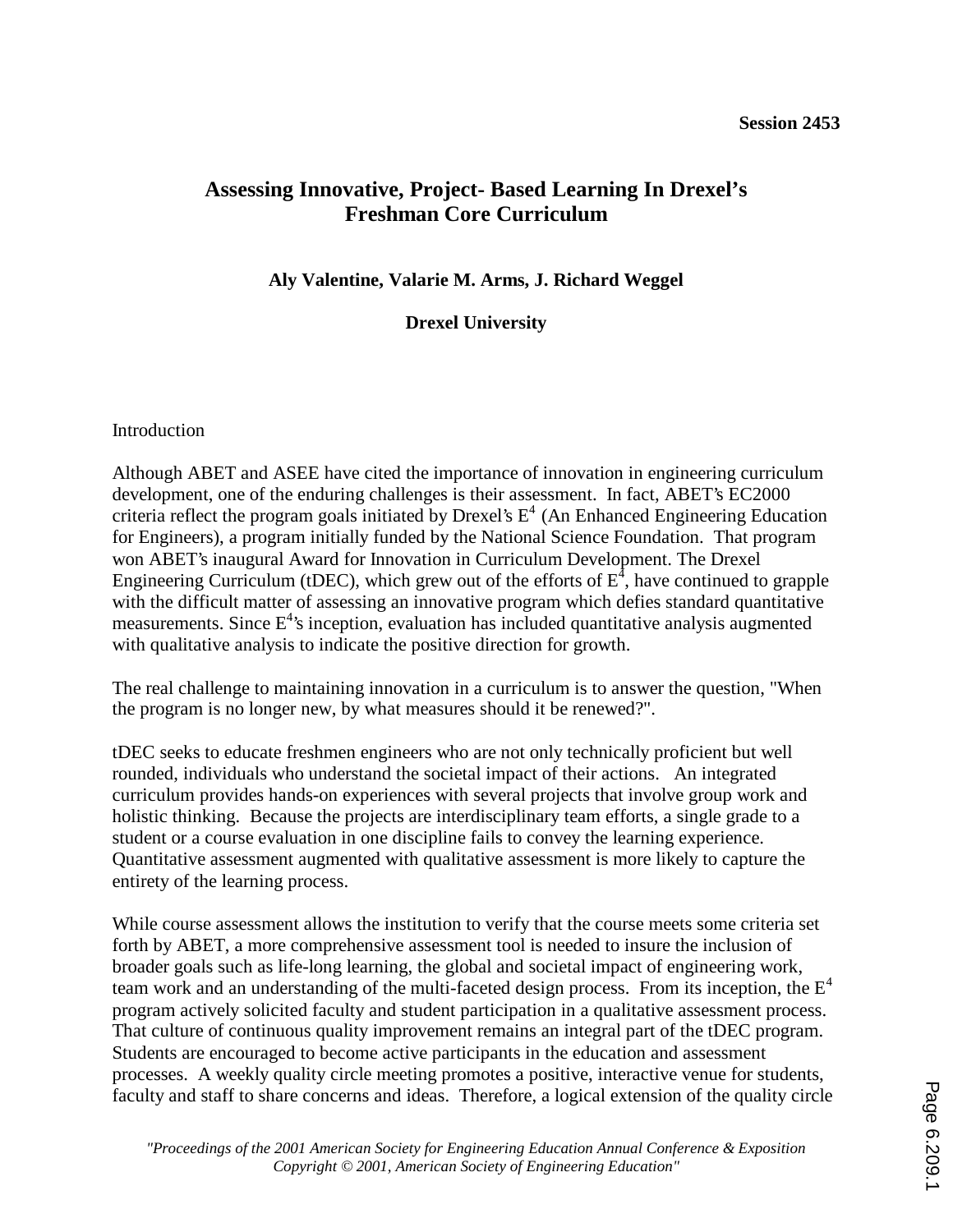# **Assessing Innovative, Project- Based Learning In Drexel's Freshman Core Curriculum**

**Aly Valentine, Valarie M. Arms, J. Richard Weggel** 

**Drexel University** 

Introduction

Although ABET and ASEE have cited the importance of innovation in engineering curriculum development, one of the enduring challenges is their assessment. In fact, ABET's EC2000 criteria reflect the program goals initiated by Drexel's  $E<sup>4</sup>$  (An Enhanced Engineering Education for Engineers), a program initially funded by the National Science Foundation. That program won ABET's inaugural Award for Innovation in Curriculum Development. The Drexel Engineering Curriculum (tDEC), which grew out of the efforts of  $E^4$ , have continued to grapple with the difficult matter of assessing an innovative program which defies standard quantitative measurements. Since  $E^4$ 's inception, evaluation has included quantitative analysis augmented with qualitative analysis to indicate the positive direction for growth.

The real challenge to maintaining innovation in a curriculum is to answer the question, "When the program is no longer new, by what measures should it be renewed?".

tDEC seeks to educate freshmen engineers who are not only technically proficient but well rounded, individuals who understand the societal impact of their actions. An integrated curriculum provides hands-on experiences with several projects that involve group work and holistic thinking. Because the projects are interdisciplinary team efforts, a single grade to a student or a course evaluation in one discipline fails to convey the learning experience. Quantitative assessment augmented with qualitative assessment is more likely to capture the entirety of the learning process.

While course assessment allows the institution to verify that the course meets some criteria set forth by ABET, a more comprehensive assessment tool is needed to insure the inclusion of broader goals such as life-long learning, the global and societal impact of engineering work, team work and an understanding of the multi-faceted design process. From its inception, the  $E<sup>4</sup>$ program actively solicited faculty and student participation in a qualitative assessment process. That culture of continuous quality improvement remains an integral part of the tDEC program. Students are encouraged to become active participants in the education and assessment processes. A weekly quality circle meeting promotes a positive, interactive venue for students, faculty and staff to share concerns and ideas. Therefore, a logical extension of the quality circle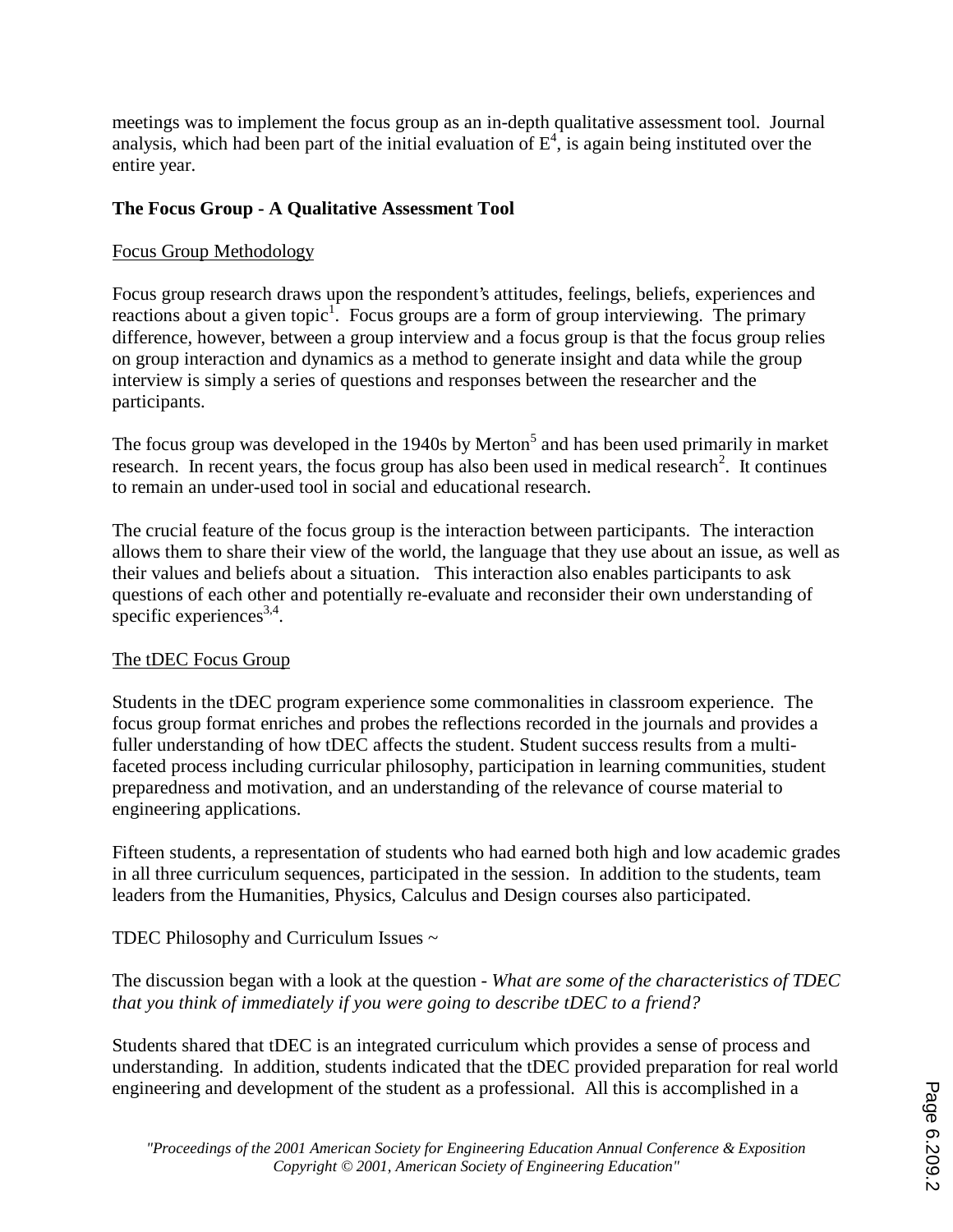meetings was to implement the focus group as an in-depth qualitative assessment tool. Journal analysis, which had been part of the initial evaluation of  $E^4$ , is again being instituted over the entire year.

# **The Focus Group - A Qualitative Assessment Tool**

# Focus Group Methodology

Focus group research draws upon the respondent's attitudes, feelings, beliefs, experiences and reactions about a given topic<sup>1</sup>. Focus groups are a form of group interviewing. The primary difference, however, between a group interview and a focus group is that the focus group relies on group interaction and dynamics as a method to generate insight and data while the group interview is simply a series of questions and responses between the researcher and the participants.

The focus group was developed in the 1940s by Merton<sup>5</sup> and has been used primarily in market research. In recent years, the focus group has also been used in medical research<sup>2</sup>. It continues to remain an under-used tool in social and educational research.

The crucial feature of the focus group is the interaction between participants. The interaction allows them to share their view of the world, the language that they use about an issue, as well as their values and beliefs about a situation. This interaction also enables participants to ask questions of each other and potentially re-evaluate and reconsider their own understanding of specific experiences<sup>3,4</sup>.

#### The tDEC Focus Group

Students in the tDEC program experience some commonalities in classroom experience. The focus group format enriches and probes the reflections recorded in the journals and provides a fuller understanding of how tDEC affects the student. Student success results from a multifaceted process including curricular philosophy, participation in learning communities, student preparedness and motivation, and an understanding of the relevance of course material to engineering applications.

Fifteen students, a representation of students who had earned both high and low academic grades in all three curriculum sequences, participated in the session. In addition to the students, team leaders from the Humanities, Physics, Calculus and Design courses also participated.

TDEC Philosophy and Curriculum Issues ~

The discussion began with a look at the question - *What are some of the characteristics of TDEC that you think of immediately if you were going to describe tDEC to a friend?* 

Students shared that tDEC is an integrated curriculum which provides a sense of process and understanding. In addition, students indicated that the tDEC provided preparation for real world engineering and development of the student as a professional. All this is accomplished in a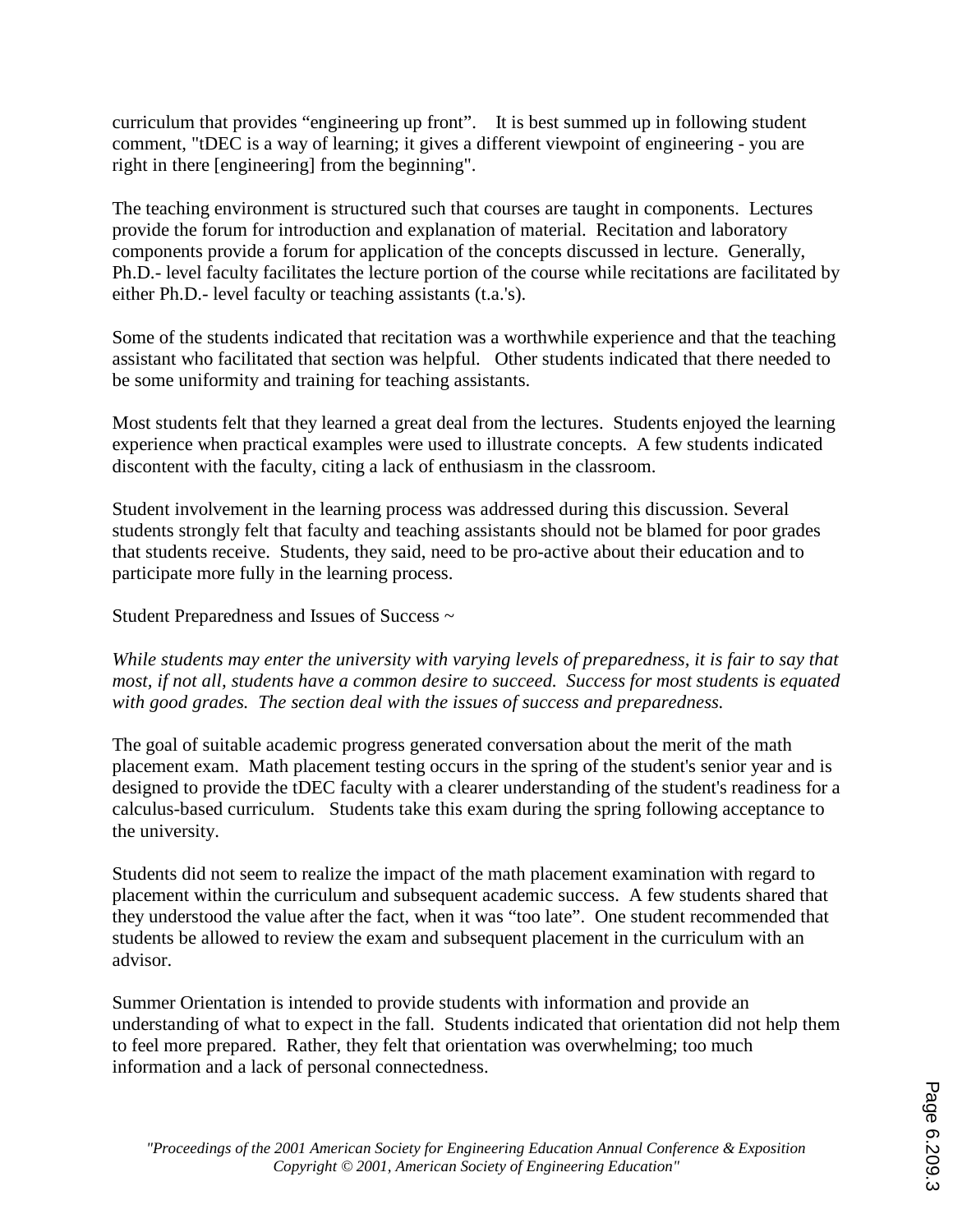curriculum that provides "engineering up front". It is best summed up in following student comment, "tDEC is a way of learning; it gives a different viewpoint of engineering - you are right in there [engineering] from the beginning".

The teaching environment is structured such that courses are taught in components. Lectures provide the forum for introduction and explanation of material. Recitation and laboratory components provide a forum for application of the concepts discussed in lecture. Generally, Ph.D.- level faculty facilitates the lecture portion of the course while recitations are facilitated by either Ph.D.- level faculty or teaching assistants (t.a.'s).

Some of the students indicated that recitation was a worthwhile experience and that the teaching assistant who facilitated that section was helpful. Other students indicated that there needed to be some uniformity and training for teaching assistants.

Most students felt that they learned a great deal from the lectures. Students enjoyed the learning experience when practical examples were used to illustrate concepts. A few students indicated discontent with the faculty, citing a lack of enthusiasm in the classroom.

Student involvement in the learning process was addressed during this discussion. Several students strongly felt that faculty and teaching assistants should not be blamed for poor grades that students receive. Students, they said, need to be pro-active about their education and to participate more fully in the learning process.

Student Preparedness and Issues of Success ~

*While students may enter the university with varying levels of preparedness, it is fair to say that most, if not all, students have a common desire to succeed. Success for most students is equated with good grades. The section deal with the issues of success and preparedness.* 

The goal of suitable academic progress generated conversation about the merit of the math placement exam. Math placement testing occurs in the spring of the student's senior year and is designed to provide the tDEC faculty with a clearer understanding of the student's readiness for a calculus-based curriculum. Students take this exam during the spring following acceptance to the university.

Students did not seem to realize the impact of the math placement examination with regard to placement within the curriculum and subsequent academic success. A few students shared that they understood the value after the fact, when it was "too late". One student recommended that students be allowed to review the exam and subsequent placement in the curriculum with an advisor.

Summer Orientation is intended to provide students with information and provide an understanding of what to expect in the fall. Students indicated that orientation did not help them to feel more prepared. Rather, they felt that orientation was overwhelming; too much information and a lack of personal connectedness.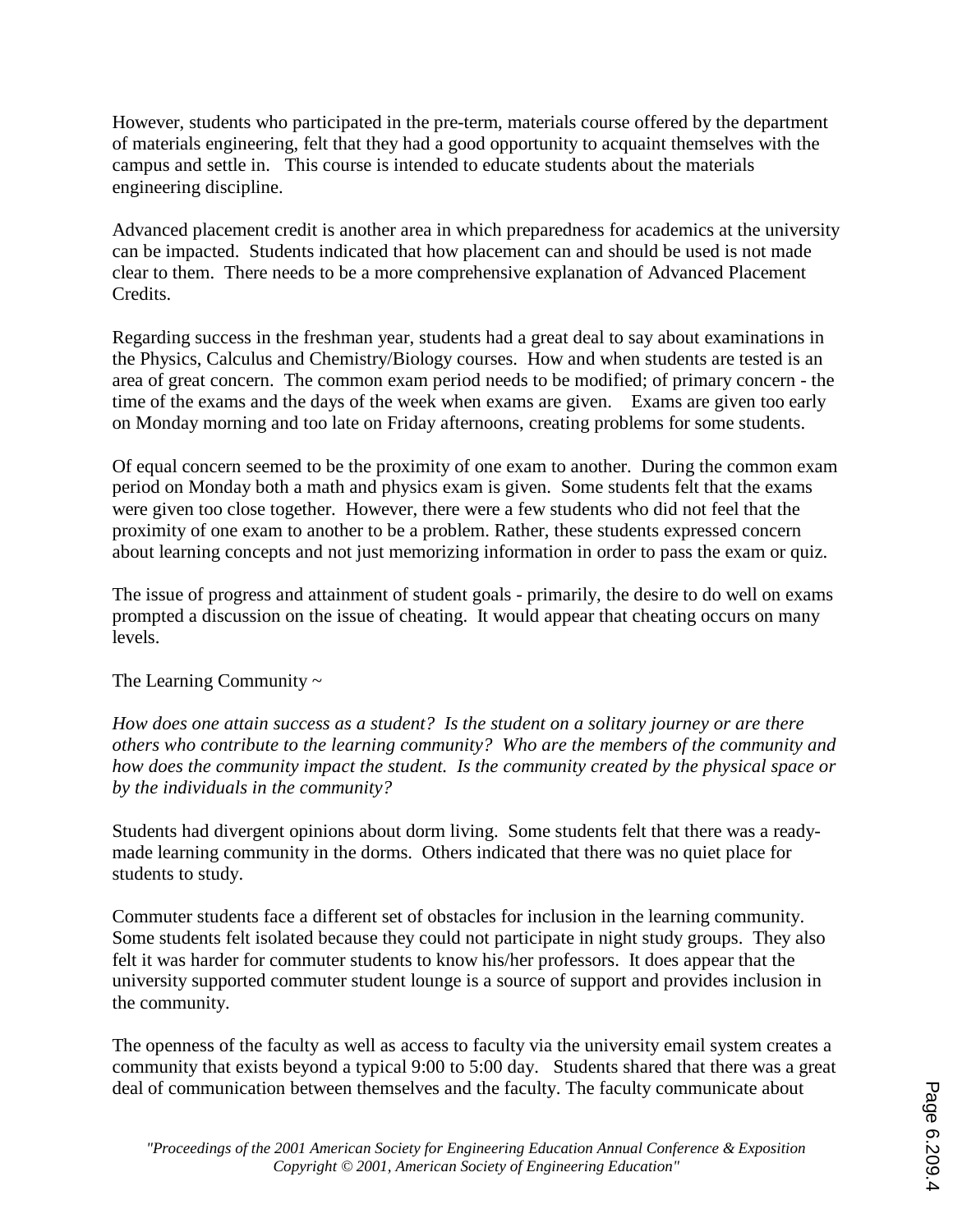However, students who participated in the pre-term, materials course offered by the department of materials engineering, felt that they had a good opportunity to acquaint themselves with the campus and settle in. This course is intended to educate students about the materials engineering discipline.

Advanced placement credit is another area in which preparedness for academics at the university can be impacted. Students indicated that how placement can and should be used is not made clear to them. There needs to be a more comprehensive explanation of Advanced Placement Credits.

Regarding success in the freshman year, students had a great deal to say about examinations in the Physics, Calculus and Chemistry/Biology courses. How and when students are tested is an area of great concern. The common exam period needs to be modified; of primary concern - the time of the exams and the days of the week when exams are given. Exams are given too early on Monday morning and too late on Friday afternoons, creating problems for some students.

Of equal concern seemed to be the proximity of one exam to another. During the common exam period on Monday both a math and physics exam is given. Some students felt that the exams were given too close together. However, there were a few students who did not feel that the proximity of one exam to another to be a problem. Rather, these students expressed concern about learning concepts and not just memorizing information in order to pass the exam or quiz.

The issue of progress and attainment of student goals - primarily, the desire to do well on exams prompted a discussion on the issue of cheating. It would appear that cheating occurs on many levels.

#### The Learning Community  $\sim$

*How does one attain success as a student? Is the student on a solitary journey or are there others who contribute to the learning community? Who are the members of the community and how does the community impact the student. Is the community created by the physical space or by the individuals in the community?* 

Students had divergent opinions about dorm living. Some students felt that there was a readymade learning community in the dorms. Others indicated that there was no quiet place for students to study.

Commuter students face a different set of obstacles for inclusion in the learning community. Some students felt isolated because they could not participate in night study groups. They also felt it was harder for commuter students to know his/her professors. It does appear that the university supported commuter student lounge is a source of support and provides inclusion in the community.

The openness of the faculty as well as access to faculty via the university email system creates a community that exists beyond a typical 9:00 to 5:00 day. Students shared that there was a great deal of communication between themselves and the faculty. The faculty communicate about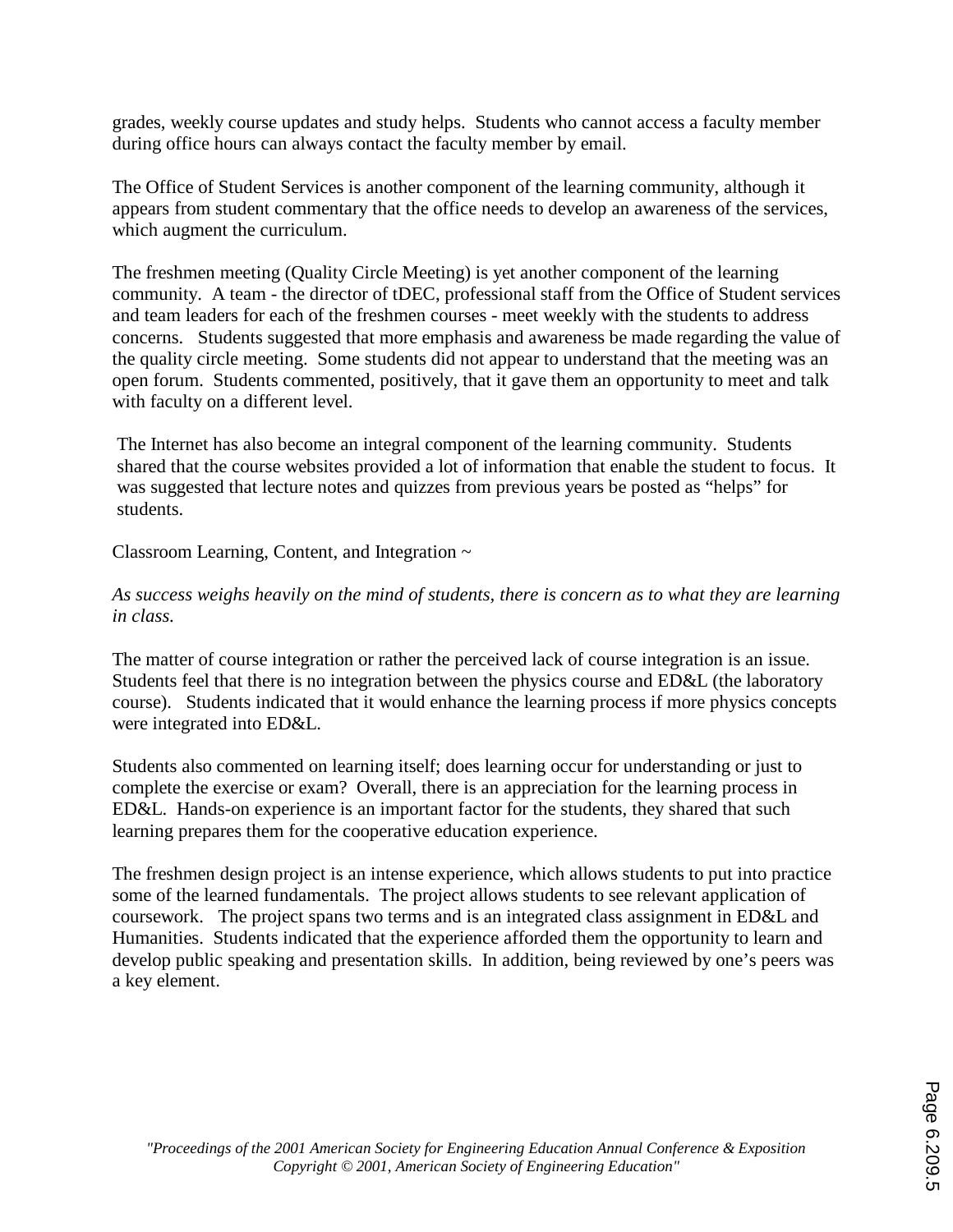grades, weekly course updates and study helps. Students who cannot access a faculty member during office hours can always contact the faculty member by email.

The Office of Student Services is another component of the learning community, although it appears from student commentary that the office needs to develop an awareness of the services, which augment the curriculum.

The freshmen meeting (Quality Circle Meeting) is yet another component of the learning community. A team - the director of tDEC, professional staff from the Office of Student services and team leaders for each of the freshmen courses - meet weekly with the students to address concerns. Students suggested that more emphasis and awareness be made regarding the value of the quality circle meeting. Some students did not appear to understand that the meeting was an open forum. Students commented, positively, that it gave them an opportunity to meet and talk with faculty on a different level.

The Internet has also become an integral component of the learning community. Students shared that the course websites provided a lot of information that enable the student to focus. It was suggested that lecture notes and quizzes from previous years be posted as "helps" for students.

Classroom Learning, Content, and Integration ~

*As success weighs heavily on the mind of students, there is concern as to what they are learning in class.* 

The matter of course integration or rather the perceived lack of course integration is an issue. Students feel that there is no integration between the physics course and ED&L (the laboratory course). Students indicated that it would enhance the learning process if more physics concepts were integrated into ED&L.

Students also commented on learning itself; does learning occur for understanding or just to complete the exercise or exam? Overall, there is an appreciation for the learning process in ED&L. Hands-on experience is an important factor for the students, they shared that such learning prepares them for the cooperative education experience.

The freshmen design project is an intense experience, which allows students to put into practice some of the learned fundamentals. The project allows students to see relevant application of coursework. The project spans two terms and is an integrated class assignment in ED&L and Humanities. Students indicated that the experience afforded them the opportunity to learn and develop public speaking and presentation skills. In addition, being reviewed by one's peers was a key element.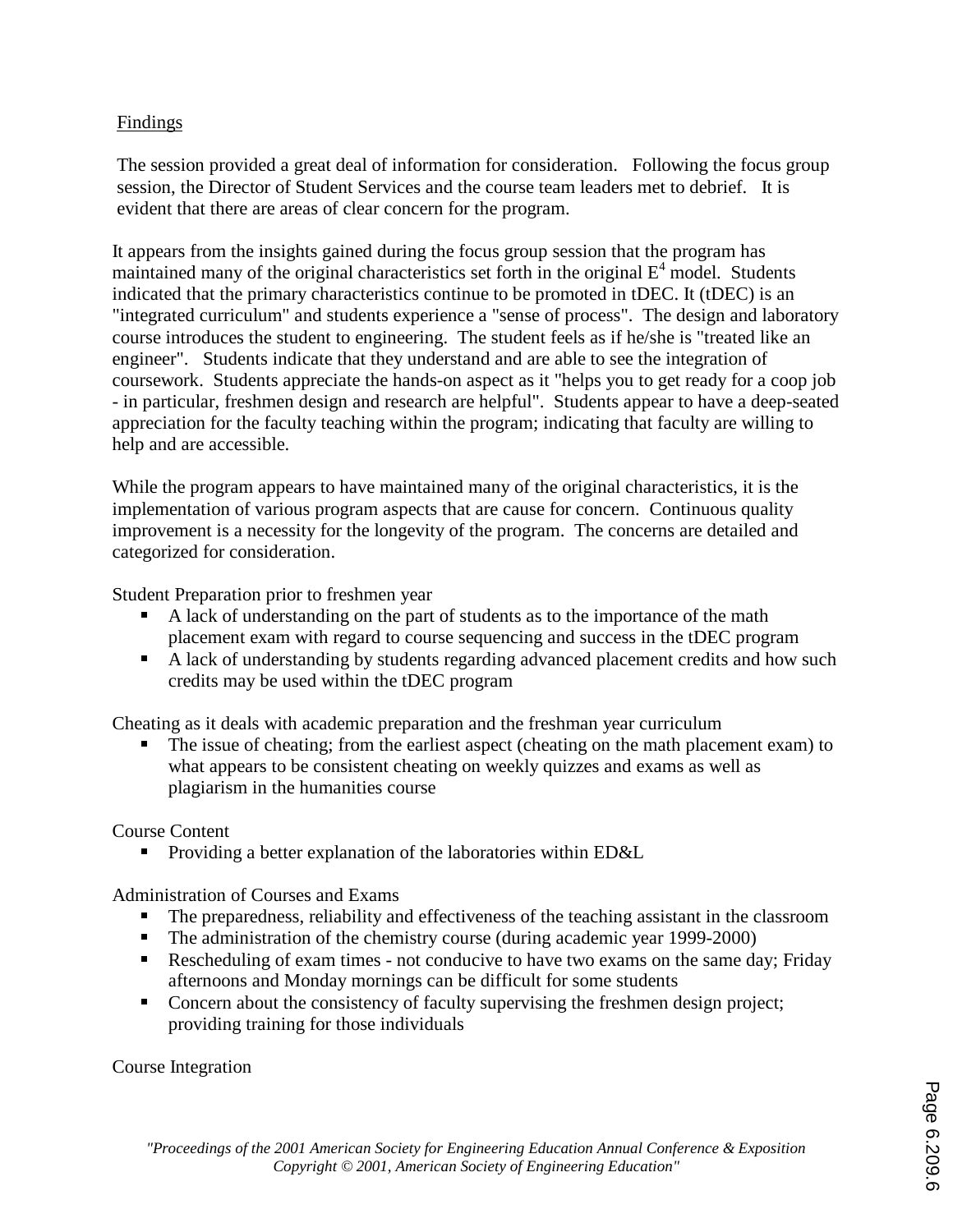### Findings

The session provided a great deal of information for consideration. Following the focus group session, the Director of Student Services and the course team leaders met to debrief. It is evident that there are areas of clear concern for the program.

It appears from the insights gained during the focus group session that the program has maintained many of the original characteristics set forth in the original  $E^4$  model. Students indicated that the primary characteristics continue to be promoted in tDEC. It (tDEC) is an "integrated curriculum" and students experience a "sense of process". The design and laboratory course introduces the student to engineering. The student feels as if he/she is "treated like an engineer". Students indicate that they understand and are able to see the integration of coursework. Students appreciate the hands-on aspect as it "helps you to get ready for a coop job - in particular, freshmen design and research are helpful". Students appear to have a deep-seated appreciation for the faculty teaching within the program; indicating that faculty are willing to help and are accessible.

While the program appears to have maintained many of the original characteristics, it is the implementation of various program aspects that are cause for concern. Continuous quality improvement is a necessity for the longevity of the program. The concerns are detailed and categorized for consideration.

Student Preparation prior to freshmen year

- A lack of understanding on the part of students as to the importance of the math placement exam with regard to course sequencing and success in the tDEC program
- A lack of understanding by students regarding advanced placement credits and how such credits may be used within the tDEC program

Cheating as it deals with academic preparation and the freshman year curriculum

 The issue of cheating; from the earliest aspect (cheating on the math placement exam) to what appears to be consistent cheating on weekly quizzes and exams as well as plagiarism in the humanities course

Course Content

Providing a better explanation of the laboratories within ED&L

Administration of Courses and Exams

- The preparedness, reliability and effectiveness of the teaching assistant in the classroom
- The administration of the chemistry course (during academic year 1999-2000)
- Rescheduling of exam times not conducive to have two exams on the same day; Friday afternoons and Monday mornings can be difficult for some students
- Concern about the consistency of faculty supervising the freshmen design project; providing training for those individuals

Course Integration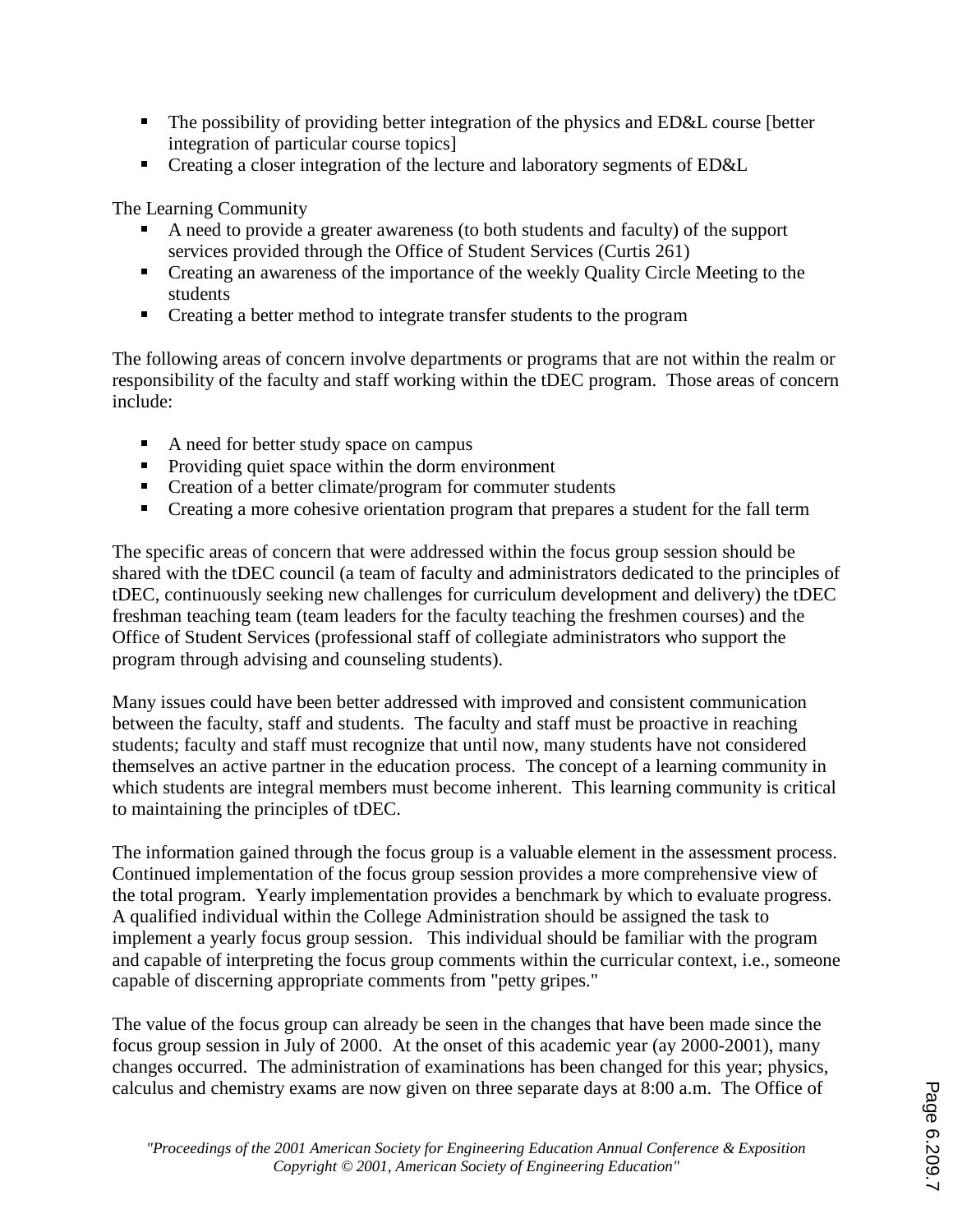- The possibility of providing better integration of the physics and ED&L course [better] integration of particular course topics]
- Creating a closer integration of the lecture and laboratory segments of ED&L

#### The Learning Community

- A need to provide a greater awareness (to both students and faculty) of the support services provided through the Office of Student Services (Curtis 261)
- Creating an awareness of the importance of the weekly Quality Circle Meeting to the students
- Creating a better method to integrate transfer students to the program

The following areas of concern involve departments or programs that are not within the realm or responsibility of the faculty and staff working within the tDEC program. Those areas of concern include:

- A need for better study space on campus
- **Providing quiet space within the dorm environment**
- Creation of a better climate/program for commuter students
- **Creating a more cohesive orientation program that prepares a student for the fall term**

The specific areas of concern that were addressed within the focus group session should be shared with the tDEC council (a team of faculty and administrators dedicated to the principles of tDEC, continuously seeking new challenges for curriculum development and delivery) the tDEC freshman teaching team (team leaders for the faculty teaching the freshmen courses) and the Office of Student Services (professional staff of collegiate administrators who support the program through advising and counseling students).

Many issues could have been better addressed with improved and consistent communication between the faculty, staff and students. The faculty and staff must be proactive in reaching students; faculty and staff must recognize that until now, many students have not considered themselves an active partner in the education process. The concept of a learning community in which students are integral members must become inherent. This learning community is critical to maintaining the principles of tDEC.

The information gained through the focus group is a valuable element in the assessment process. Continued implementation of the focus group session provides a more comprehensive view of the total program. Yearly implementation provides a benchmark by which to evaluate progress. A qualified individual within the College Administration should be assigned the task to implement a yearly focus group session. This individual should be familiar with the program and capable of interpreting the focus group comments within the curricular context, i.e., someone capable of discerning appropriate comments from "petty gripes."

The value of the focus group can already be seen in the changes that have been made since the focus group session in July of 2000. At the onset of this academic year (ay 2000-2001), many changes occurred. The administration of examinations has been changed for this year; physics, calculus and chemistry exams are now given on three separate days at 8:00 a.m. The Office of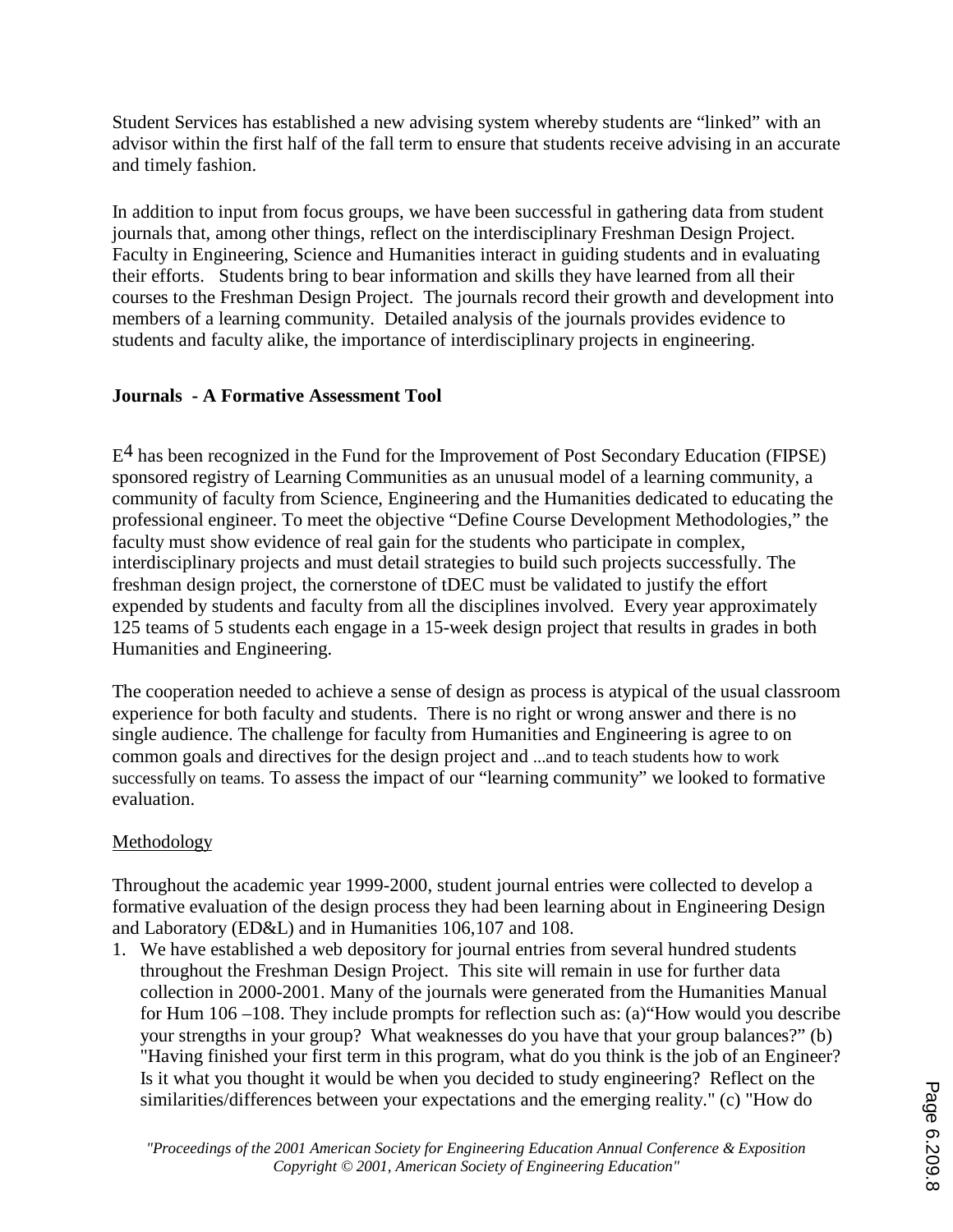Student Services has established a new advising system whereby students are "linked" with an advisor within the first half of the fall term to ensure that students receive advising in an accurate and timely fashion.

In addition to input from focus groups, we have been successful in gathering data from student journals that, among other things, reflect on the interdisciplinary Freshman Design Project. Faculty in Engineering, Science and Humanities interact in guiding students and in evaluating their efforts. Students bring to bear information and skills they have learned from all their courses to the Freshman Design Project. The journals record their growth and development into members of a learning community. Detailed analysis of the journals provides evidence to students and faculty alike, the importance of interdisciplinary projects in engineering.

# **Journals - A Formative Assessment Tool**

 $E<sup>4</sup>$  has been recognized in the Fund for the Improvement of Post Secondary Education (FIPSE) sponsored registry of Learning Communities as an unusual model of a learning community, a community of faculty from Science, Engineering and the Humanities dedicated to educating the professional engineer. To meet the objective "Define Course Development Methodologies," the faculty must show evidence of real gain for the students who participate in complex, interdisciplinary projects and must detail strategies to build such projects successfully. The freshman design project, the cornerstone of tDEC must be validated to justify the effort expended by students and faculty from all the disciplines involved. Every year approximately 125 teams of 5 students each engage in a 15-week design project that results in grades in both Humanities and Engineering.

The cooperation needed to achieve a sense of design as process is atypical of the usual classroom experience for both faculty and students. There is no right or wrong answer and there is no single audience. The challenge for faculty from Humanities and Engineering is agree to on common goals and directives for the design project and ...and to teach students how to work successfully on teams. To assess the impact of our "learning community" we looked to formative evaluation.

# Methodology

Throughout the academic year 1999-2000, student journal entries were collected to develop a formative evaluation of the design process they had been learning about in Engineering Design and Laboratory (ED&L) and in Humanities 106,107 and 108.

1. We have established a web depository for journal entries from several hundred students throughout the Freshman Design Project. This site will remain in use for further data collection in 2000-2001. Many of the journals were generated from the Humanities Manual for Hum 106 –108. They include prompts for reflection such as: (a)"How would you describe your strengths in your group? What weaknesses do you have that your group balances?" (b) "Having finished your first term in this program, what do you think is the job of an Engineer? Is it what you thought it would be when you decided to study engineering? Reflect on the similarities/differences between your expectations and the emerging reality." (c) "How do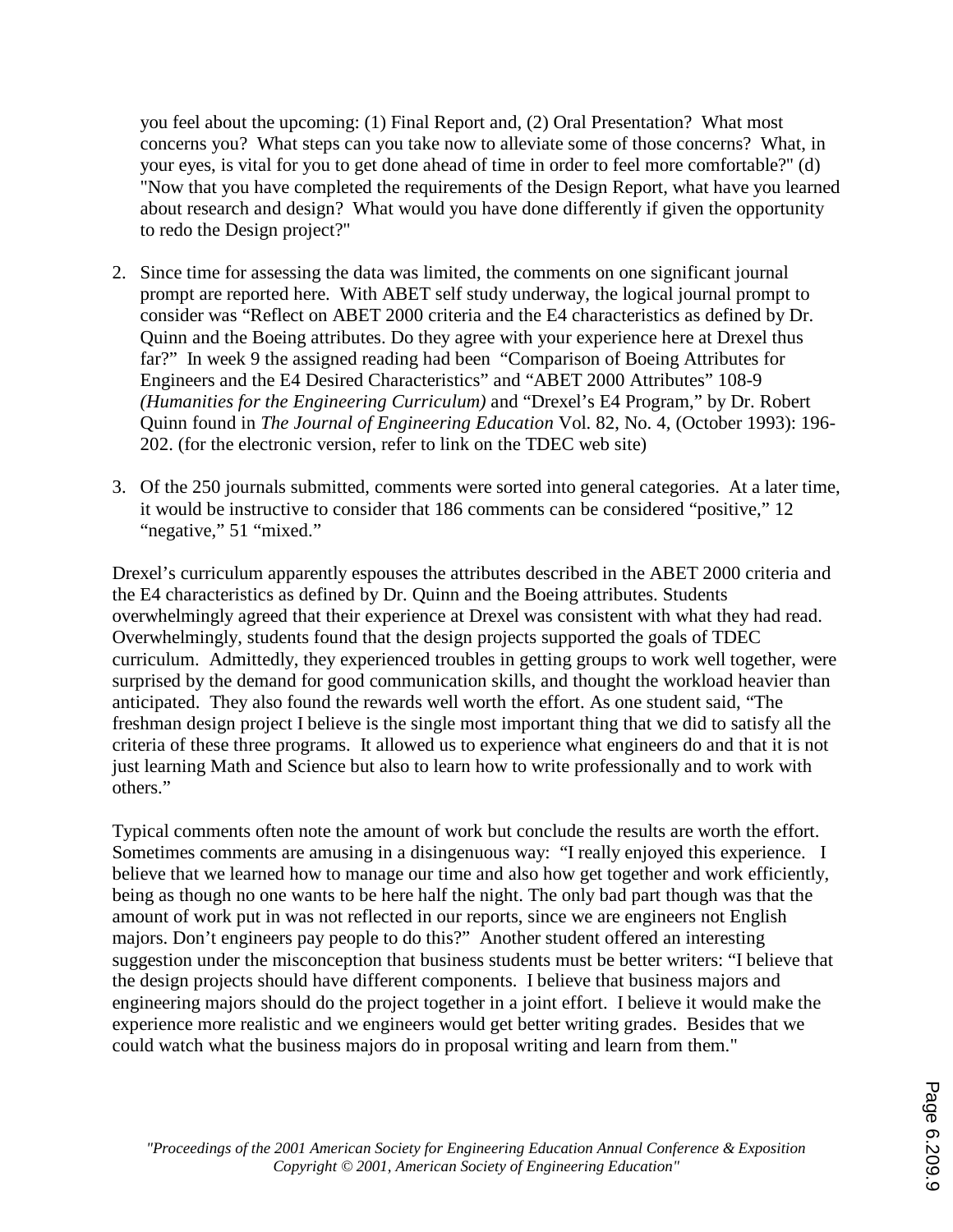you feel about the upcoming: (1) Final Report and, (2) Oral Presentation? What most concerns you? What steps can you take now to alleviate some of those concerns? What, in your eyes, is vital for you to get done ahead of time in order to feel more comfortable?" (d) "Now that you have completed the requirements of the Design Report, what have you learned about research and design? What would you have done differently if given the opportunity to redo the Design project?"

- 2. Since time for assessing the data was limited, the comments on one significant journal prompt are reported here. With ABET self study underway, the logical journal prompt to consider was "Reflect on ABET 2000 criteria and the E4 characteristics as defined by Dr. Quinn and the Boeing attributes. Do they agree with your experience here at Drexel thus far?" In week 9 the assigned reading had been "Comparison of Boeing Attributes for Engineers and the E4 Desired Characteristics" and "ABET 2000 Attributes" 108-9 *(Humanities for the Engineering Curriculum)* and "Drexel's E4 Program," by Dr. Robert Quinn found in *The Journal of Engineering Education* Vol. 82, No. 4, (October 1993): 196- 202. (for the electronic version, refer to link on the TDEC web site)
- 3. Of the 250 journals submitted, comments were sorted into general categories. At a later time, it would be instructive to consider that 186 comments can be considered "positive," 12 "negative," 51 "mixed."

Drexel's curriculum apparently espouses the attributes described in the ABET 2000 criteria and the E4 characteristics as defined by Dr. Quinn and the Boeing attributes. Students overwhelmingly agreed that their experience at Drexel was consistent with what they had read. Overwhelmingly, students found that the design projects supported the goals of TDEC curriculum. Admittedly, they experienced troubles in getting groups to work well together, were surprised by the demand for good communication skills, and thought the workload heavier than anticipated. They also found the rewards well worth the effort. As one student said, "The freshman design project I believe is the single most important thing that we did to satisfy all the criteria of these three programs. It allowed us to experience what engineers do and that it is not just learning Math and Science but also to learn how to write professionally and to work with others."

Typical comments often note the amount of work but conclude the results are worth the effort. Sometimes comments are amusing in a disingenuous way: "I really enjoyed this experience. I believe that we learned how to manage our time and also how get together and work efficiently, being as though no one wants to be here half the night. The only bad part though was that the amount of work put in was not reflected in our reports, since we are engineers not English majors. Don't engineers pay people to do this?" Another student offered an interesting suggestion under the misconception that business students must be better writers: "I believe that the design projects should have different components. I believe that business majors and engineering majors should do the project together in a joint effort. I believe it would make the experience more realistic and we engineers would get better writing grades. Besides that we could watch what the business majors do in proposal writing and learn from them."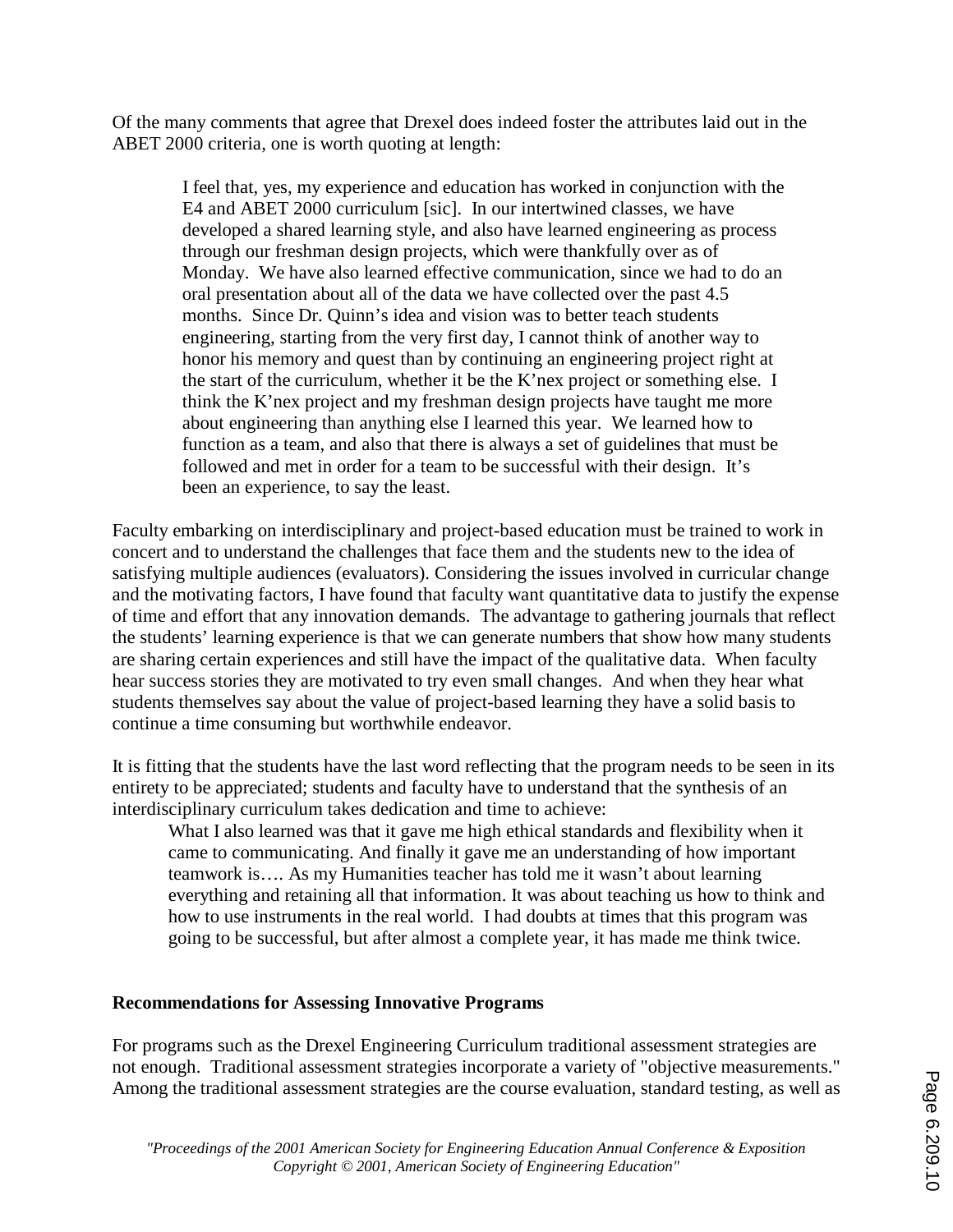Of the many comments that agree that Drexel does indeed foster the attributes laid out in the ABET 2000 criteria, one is worth quoting at length:

 I feel that, yes, my experience and education has worked in conjunction with the E4 and ABET 2000 curriculum [sic]. In our intertwined classes, we have developed a shared learning style, and also have learned engineering as process through our freshman design projects, which were thankfully over as of Monday. We have also learned effective communication, since we had to do an oral presentation about all of the data we have collected over the past 4.5 months. Since Dr. Quinn's idea and vision was to better teach students engineering, starting from the very first day, I cannot think of another way to honor his memory and quest than by continuing an engineering project right at the start of the curriculum, whether it be the K'nex project or something else. I think the K'nex project and my freshman design projects have taught me more about engineering than anything else I learned this year. We learned how to function as a team, and also that there is always a set of guidelines that must be followed and met in order for a team to be successful with their design. It's been an experience, to say the least.

Faculty embarking on interdisciplinary and project-based education must be trained to work in concert and to understand the challenges that face them and the students new to the idea of satisfying multiple audiences (evaluators). Considering the issues involved in curricular change and the motivating factors, I have found that faculty want quantitative data to justify the expense of time and effort that any innovation demands. The advantage to gathering journals that reflect the students' learning experience is that we can generate numbers that show how many students are sharing certain experiences and still have the impact of the qualitative data. When faculty hear success stories they are motivated to try even small changes. And when they hear what students themselves say about the value of project-based learning they have a solid basis to continue a time consuming but worthwhile endeavor.

It is fitting that the students have the last word reflecting that the program needs to be seen in its entirety to be appreciated; students and faculty have to understand that the synthesis of an interdisciplinary curriculum takes dedication and time to achieve:

What I also learned was that it gave me high ethical standards and flexibility when it came to communicating. And finally it gave me an understanding of how important teamwork is…. As my Humanities teacher has told me it wasn't about learning everything and retaining all that information. It was about teaching us how to think and how to use instruments in the real world. I had doubts at times that this program was going to be successful, but after almost a complete year, it has made me think twice.

#### **Recommendations for Assessing Innovative Programs**

For programs such as the Drexel Engineering Curriculum traditional assessment strategies are not enough. Traditional assessment strategies incorporate a variety of "objective measurements." Among the traditional assessment strategies are the course evaluation, standard testing, as well as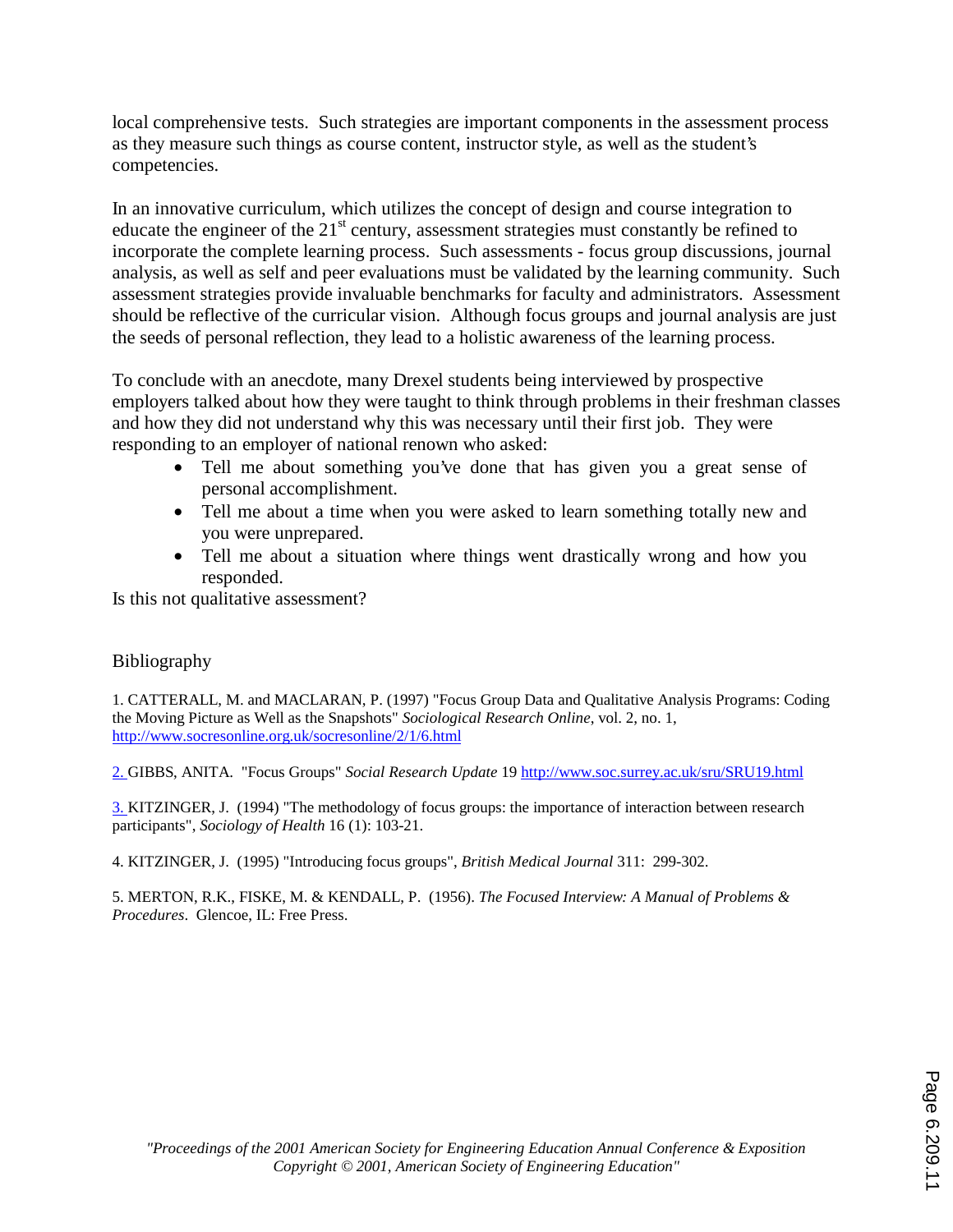local comprehensive tests. Such strategies are important components in the assessment process as they measure such things as course content, instructor style, as well as the student's competencies.

In an innovative curriculum, which utilizes the concept of design and course integration to educate the engineer of the  $21<sup>st</sup>$  century, assessment strategies must constantly be refined to incorporate the complete learning process. Such assessments - focus group discussions, journal analysis, as well as self and peer evaluations must be validated by the learning community. Such assessment strategies provide invaluable benchmarks for faculty and administrators. Assessment should be reflective of the curricular vision. Although focus groups and journal analysis are just the seeds of personal reflection, they lead to a holistic awareness of the learning process.

To conclude with an anecdote, many Drexel students being interviewed by prospective employers talked about how they were taught to think through problems in their freshman classes and how they did not understand why this was necessary until their first job. They were responding to an employer of national renown who asked:

- Tell me about something you've done that has given you a great sense of personal accomplishment.
- Tell me about a time when you were asked to learn something totally new and you were unprepared.
- Tell me about a situation where things went drastically wrong and how you responded.

Is this not qualitative assessment?

#### Bibliography

1. CATTERALL, M. and MACLARAN, P. (1997) "Focus Group Data and Qualitative Analysis Programs: Coding the Moving Picture as Well as the Snapshots" *Sociological Research Online*, vol. 2, no. 1, http://www.socresonline.org.uk/socresonline/2/1/6.html

2. GIBBS, ANITA. "Focus Groups" *Social Research Update* 19 http://www.soc.surrey.ac.uk/sru/SRU19.html

3. KITZINGER, J. (1994) "The methodology of focus groups: the importance of interaction between research participants", *Sociology of Health* 16 (1): 103-21.

4. KITZINGER, J. (1995) "Introducing focus groups", *British Medical Journal* 311: 299-302.

5. MERTON, R.K., FISKE, M. & KENDALL, P. (1956). *The Focused Interview: A Manual of Problems & Procedures*. Glencoe, IL: Free Press.